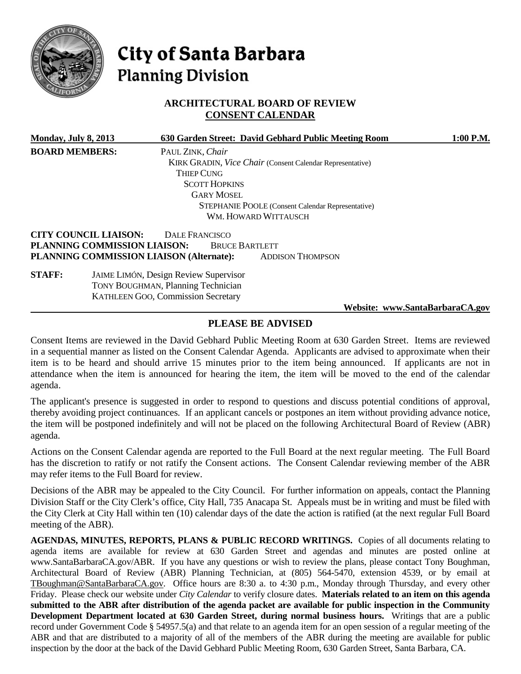

# City of Santa Barbara **Planning Division**

# **ARCHITECTURAL BOARD OF REVIEW CONSENT CALENDAR**

| <b>Monday, July 8, 2013</b>  |                      |                                                                                                                                                                                                             |                                               | $1:00$ P.M.                                                                                                                                                                                                             |
|------------------------------|----------------------|-------------------------------------------------------------------------------------------------------------------------------------------------------------------------------------------------------------|-----------------------------------------------|-------------------------------------------------------------------------------------------------------------------------------------------------------------------------------------------------------------------------|
| <b>BOARD MEMBERS:</b>        | PAUL ZINK, Chair     |                                                                                                                                                                                                             |                                               |                                                                                                                                                                                                                         |
|                              |                      |                                                                                                                                                                                                             |                                               |                                                                                                                                                                                                                         |
|                              | Thiep Cung           |                                                                                                                                                                                                             |                                               |                                                                                                                                                                                                                         |
|                              | <b>SCOTT HOPKINS</b> |                                                                                                                                                                                                             |                                               |                                                                                                                                                                                                                         |
|                              | <b>GARY MOSEL</b>    |                                                                                                                                                                                                             |                                               |                                                                                                                                                                                                                         |
|                              |                      |                                                                                                                                                                                                             |                                               |                                                                                                                                                                                                                         |
|                              |                      |                                                                                                                                                                                                             |                                               |                                                                                                                                                                                                                         |
| <b>CITY COUNCIL LIAISON:</b> | DALE FRANCISCO       |                                                                                                                                                                                                             |                                               |                                                                                                                                                                                                                         |
|                              |                      |                                                                                                                                                                                                             |                                               |                                                                                                                                                                                                                         |
|                              |                      | <b>ADDISON THOMPSON</b>                                                                                                                                                                                     |                                               |                                                                                                                                                                                                                         |
|                              |                      |                                                                                                                                                                                                             |                                               |                                                                                                                                                                                                                         |
|                              |                      |                                                                                                                                                                                                             |                                               |                                                                                                                                                                                                                         |
|                              |                      |                                                                                                                                                                                                             |                                               |                                                                                                                                                                                                                         |
|                              |                      |                                                                                                                                                                                                             |                                               |                                                                                                                                                                                                                         |
|                              |                      | PLANNING COMMISSION LIAISON:<br>PLANNING COMMISSION LIAISON (Alternate):<br><b>JAIME LIMÓN, Design Review Supervisor</b><br><b>TONY BOUGHMAN, Planning Technician</b><br>KATHLEEN GOO, Commission Secretary | WM. HOWARD WITTAUSCH<br><b>BRUCE BARTLETT</b> | 630 Garden Street: David Gebhard Public Meeting Room<br><b>KIRK GRADIN, Vice Chair (Consent Calendar Representative)</b><br><b>STEPHANIE POOLE</b> (Consent Calendar Representative)<br>Website: www.SantaBarbaraCA.gov |

# **PLEASE BE ADVISED**

Consent Items are reviewed in the David Gebhard Public Meeting Room at 630 Garden Street. Items are reviewed in a sequential manner as listed on the Consent Calendar Agenda. Applicants are advised to approximate when their item is to be heard and should arrive 15 minutes prior to the item being announced. If applicants are not in attendance when the item is announced for hearing the item, the item will be moved to the end of the calendar agenda.

The applicant's presence is suggested in order to respond to questions and discuss potential conditions of approval, thereby avoiding project continuances. If an applicant cancels or postpones an item without providing advance notice, the item will be postponed indefinitely and will not be placed on the following Architectural Board of Review (ABR) agenda.

Actions on the Consent Calendar agenda are reported to the Full Board at the next regular meeting. The Full Board has the discretion to ratify or not ratify the Consent actions. The Consent Calendar reviewing member of the ABR may refer items to the Full Board for review.

Decisions of the ABR may be appealed to the City Council. For further information on appeals, contact the Planning Division Staff or the City Clerk's office, City Hall, 735 Anacapa St. Appeals must be in writing and must be filed with the City Clerk at City Hall within ten (10) calendar days of the date the action is ratified (at the next regular Full Board meeting of the ABR).

**AGENDAS, MINUTES, REPORTS, PLANS & PUBLIC RECORD WRITINGS.** Copies of all documents relating to agenda items are available for review at 630 Garden Street and agendas and minutes are posted online at www.SantaBarbaraCA.gov/ABR. If you have any questions or wish to review the plans, please contact Tony Boughman, Architectural Board of Review (ABR) Planning Technician, at (805) 564-5470, extension 4539, or by email at [TBoughman@SantaBarbaraCA.gov.](mailto:TBoughman@SantaBarbaraCA.gov) Office hours are 8:30 a. to 4:30 p.m., Monday through Thursday, and every other Friday. Please check our website under *City Calendar* to verify closure dates. **Materials related to an item on this agenda submitted to the ABR after distribution of the agenda packet are available for public inspection in the Community Development Department located at 630 Garden Street, during normal business hours.** Writings that are a public record under Government Code § 54957.5(a) and that relate to an agenda item for an open session of a regular meeting of the ABR and that are distributed to a majority of all of the members of the ABR during the meeting are available for public inspection by the door at the back of the David Gebhard Public Meeting Room, 630 Garden Street, Santa Barbara, CA.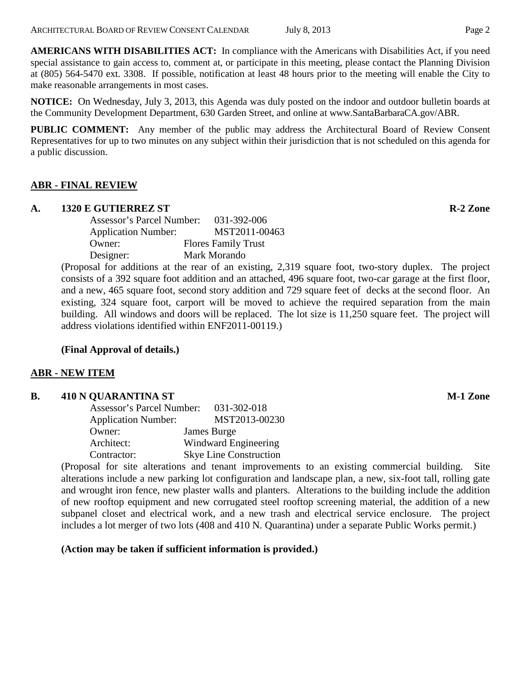**AMERICANS WITH DISABILITIES ACT:** In compliance with the Americans with Disabilities Act, if you need special assistance to gain access to, comment at, or participate in this meeting, please contact the Planning Division at (805) 564-5470 ext. 3308. If possible, notification at least 48 hours prior to the meeting will enable the City to make reasonable arrangements in most cases.

**NOTICE:** On Wednesday, July 3, 2013, this Agenda was duly posted on the indoor and outdoor bulletin boards at the Community Development Department, 630 Garden Street, and online at www.SantaBarbaraCA.gov/ABR.

**PUBLIC COMMENT:** Any member of the public may address the Architectural Board of Review Consent Representatives for up to two minutes on any subject within their jurisdiction that is not scheduled on this agenda for a public discussion.

# **ABR - FINAL REVIEW**

#### **A. 1320 E GUTIERREZ ST R-2 Zone**

| <b>Assessor's Parcel Number:</b> |  | 031-392-006                |
|----------------------------------|--|----------------------------|
| <b>Application Number:</b>       |  | MST2011-00463              |
| Owner:                           |  | <b>Flores Family Trust</b> |
| Designer:                        |  | Mark Morando               |

(Proposal for additions at the rear of an existing, 2,319 square foot, two-story duplex. The project consists of a 392 square foot addition and an attached, 496 square foot, two-car garage at the first floor, and a new, 465 square foot, second story addition and 729 square feet of decks at the second floor. An existing, 324 square foot, carport will be moved to achieve the required separation from the main building. All windows and doors will be replaced. The lot size is 11,250 square feet. The project will address violations identified within ENF2011-00119.)

# **(Final Approval of details.)**

# **ABR - NEW ITEM**

#### **B. 410 N QUARANTINA ST M-1 Zone**

| Assessor's Parcel Number:  | $031 - 302 - 018$             |
|----------------------------|-------------------------------|
| <b>Application Number:</b> | MST2013-00230                 |
| Owner:                     | James Burge                   |
| Architect:                 | Windward Engineering          |
| Contractor:                | <b>Skye Line Construction</b> |

(Proposal for site alterations and tenant improvements to an existing commercial building. Site alterations include a new parking lot configuration and landscape plan, a new, six-foot tall, rolling gate and wrought iron fence, new plaster walls and planters. Alterations to the building include the addition of new rooftop equipment and new corrugated steel rooftop screening material, the addition of a new subpanel closet and electrical work, and a new trash and electrical service enclosure. The project includes a lot merger of two lots (408 and 410 N. Quarantina) under a separate Public Works permit.)

**(Action may be taken if sufficient information is provided.)**